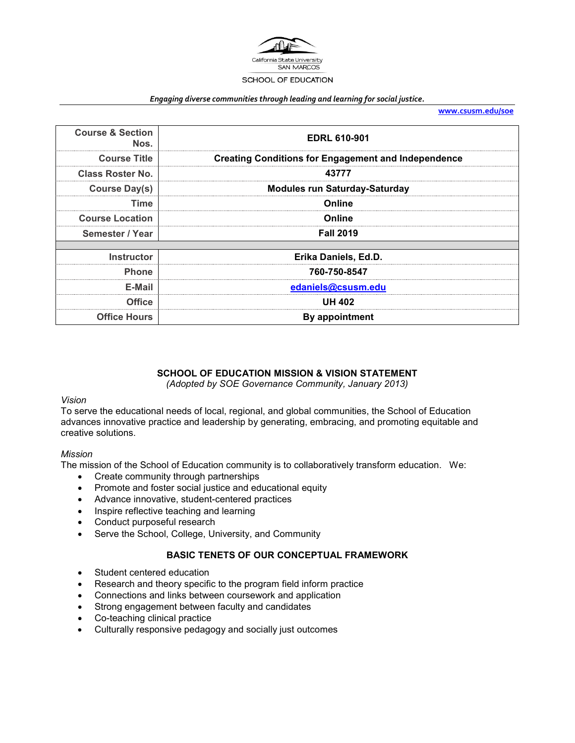

#### *Engaging diverse communities through leading and learning for social justice.*

**[www.csusm.edu/soe](http://www.csusm.edu/soe)**

| <b>EDRL 610-901</b>                                        | <b>Course &amp; Section</b><br>Nos. |
|------------------------------------------------------------|-------------------------------------|
| <b>Creating Conditions for Engagement and Independence</b> | <b>Course Title</b>                 |
| 43777                                                      | <b>Class Roster No.</b>             |
| <b>Modules run Saturday-Saturday</b>                       | <b>Course Day(s)</b>                |
| Online                                                     | Time                                |
| Online                                                     | <b>Course Location</b>              |
| <b>Fall 2019</b>                                           | Semester / Year                     |
|                                                            |                                     |
| Erika Daniels, Ed.D.                                       | <b>Instructor</b>                   |
| 760-750-8547                                               | <b>Phone</b>                        |
| edaniels@csusm.edu                                         | E-Mail                              |
| <b>UH 402</b>                                              | Office                              |
| By appointment                                             | <b>Office Hours</b>                 |

## **SCHOOL OF EDUCATION MISSION & VISION STATEMENT**

*(Adopted by SOE Governance Community, January 2013)*

#### *Vision*

To serve the educational needs of local, regional, and global communities, the School of Education advances innovative practice and leadership by generating, embracing, and promoting equitable and creative solutions.

#### *Mission*

The mission of the School of Education community is to collaboratively transform education. We:

- Create community through partnerships
- Promote and foster social justice and educational equity
- Advance innovative, student-centered practices
- Inspire reflective teaching and learning
- Conduct purposeful research
- Serve the School, College, University, and Community

#### **BASIC TENETS OF OUR CONCEPTUAL FRAMEWORK**

- Student centered education
- Research and theory specific to the program field inform practice
- Connections and links between coursework and application
- Strong engagement between faculty and candidates
- Co-teaching clinical practice
- Culturally responsive pedagogy and socially just outcomes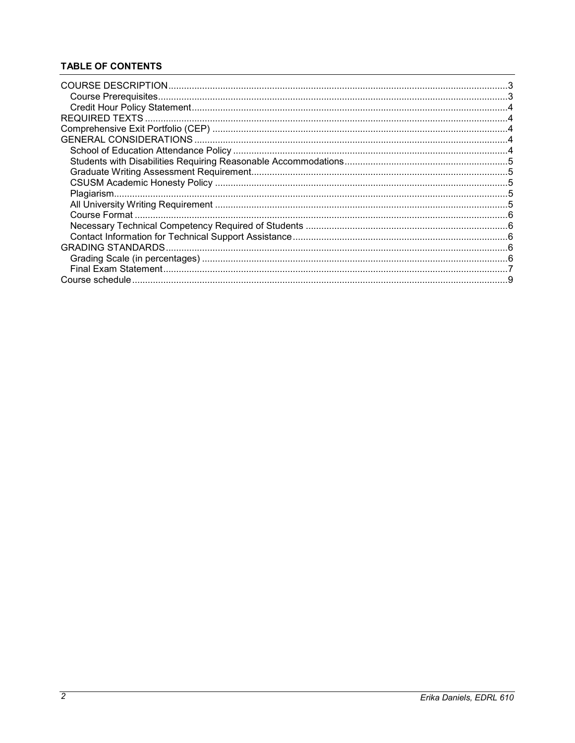# **TABLE OF CONTENTS**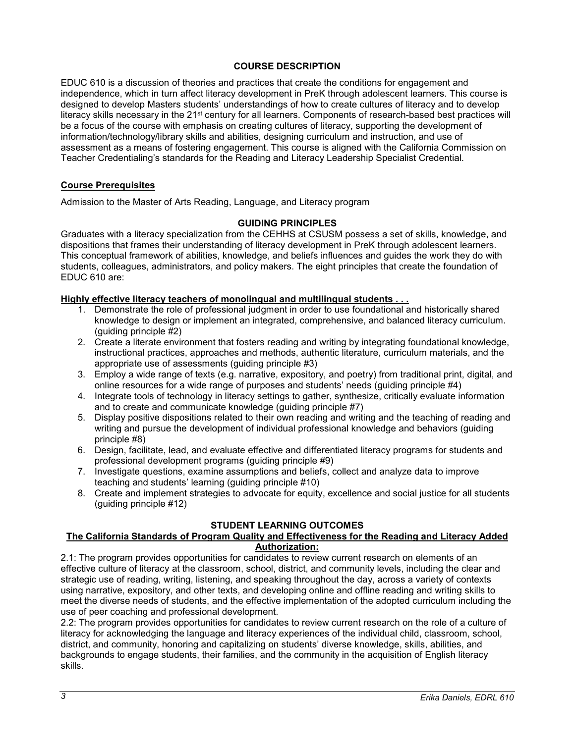## **COURSE DESCRIPTION**

<span id="page-2-0"></span>EDUC 610 is a discussion of theories and practices that create the conditions for engagement and independence, which in turn affect literacy development in PreK through adolescent learners. This course is designed to develop Masters students' understandings of how to create cultures of literacy and to develop literacy skills necessary in the 21<sup>st</sup> century for all learners. Components of research-based best practices will be a focus of the course with emphasis on creating cultures of literacy, supporting the development of information/technology/library skills and abilities, designing curriculum and instruction, and use of assessment as a means of fostering engagement. This course is aligned with the California Commission on Teacher Credentialing's standards for the Reading and Literacy Leadership Specialist Credential.

## <span id="page-2-1"></span>**Course Prerequisites**

Admission to the Master of Arts Reading, Language, and Literacy program

## **GUIDING PRINCIPLES**

Graduates with a literacy specialization from the CEHHS at CSUSM possess a set of skills, knowledge, and dispositions that frames their understanding of literacy development in PreK through adolescent learners. This conceptual framework of abilities, knowledge, and beliefs influences and guides the work they do with students, colleagues, administrators, and policy makers. The eight principles that create the foundation of EDUC 610 are:

## **Highly effective literacy teachers of monolingual and multilingual students . . .**

- 1. Demonstrate the role of professional judgment in order to use foundational and historically shared knowledge to design or implement an integrated, comprehensive, and balanced literacy curriculum. (guiding principle #2)
- 2. Create a literate environment that fosters reading and writing by integrating foundational knowledge, instructional practices, approaches and methods, authentic literature, curriculum materials, and the appropriate use of assessments (guiding principle #3)
- 3. Employ a wide range of texts (e.g. narrative, expository, and poetry) from traditional print, digital, and online resources for a wide range of purposes and students' needs (guiding principle #4)
- 4. Integrate tools of technology in literacy settings to gather, synthesize, critically evaluate information and to create and communicate knowledge (guiding principle #7)
- 5. Display positive dispositions related to their own reading and writing and the teaching of reading and writing and pursue the development of individual professional knowledge and behaviors (guiding principle #8)
- 6. Design, facilitate, lead, and evaluate effective and differentiated literacy programs for students and professional development programs (guiding principle #9)
- 7. Investigate questions, examine assumptions and beliefs, collect and analyze data to improve teaching and students' learning (guiding principle #10)
- 8. Create and implement strategies to advocate for equity, excellence and social justice for all students (guiding principle #12)

# **STUDENT LEARNING OUTCOMES**

## **The California Standards of Program Quality and Effectiveness for the Reading and Literacy Added Authorization:**

2.1: The program provides opportunities for candidates to review current research on elements of an effective culture of literacy at the classroom, school, district, and community levels, including the clear and strategic use of reading, writing, listening, and speaking throughout the day, across a variety of contexts using narrative, expository, and other texts, and developing online and offline reading and writing skills to meet the diverse needs of students, and the effective implementation of the adopted curriculum including the use of peer coaching and professional development.

2.2: The program provides opportunities for candidates to review current research on the role of a culture of literacy for acknowledging the language and literacy experiences of the individual child, classroom, school, district, and community, honoring and capitalizing on students' diverse knowledge, skills, abilities, and backgrounds to engage students, their families, and the community in the acquisition of English literacy skills.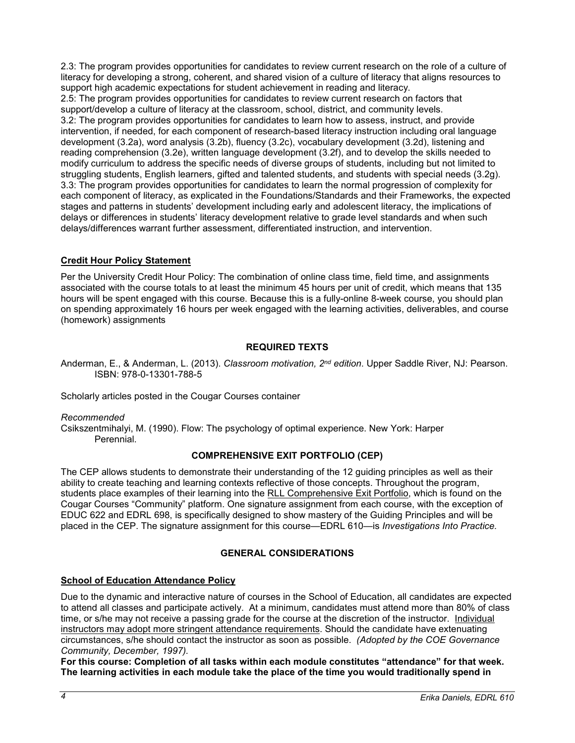2.3: The program provides opportunities for candidates to review current research on the role of a culture of literacy for developing a strong, coherent, and shared vision of a culture of literacy that aligns resources to support high academic expectations for student achievement in reading and literacy.

2.5: The program provides opportunities for candidates to review current research on factors that support/develop a culture of literacy at the classroom, school, district, and community levels. 3.2: The program provides opportunities for candidates to learn how to assess, instruct, and provide

intervention, if needed, for each component of research-based literacy instruction including oral language development (3.2a), word analysis (3.2b), fluency (3.2c), vocabulary development (3.2d), listening and reading comprehension (3.2e), written language development (3.2f), and to develop the skills needed to modify curriculum to address the specific needs of diverse groups of students, including but not limited to struggling students, English learners, gifted and talented students, and students with special needs (3.2g). 3.3: The program provides opportunities for candidates to learn the normal progression of complexity for each component of literacy, as explicated in the Foundations/Standards and their Frameworks, the expected stages and patterns in students' development including early and adolescent literacy, the implications of delays or differences in students' literacy development relative to grade level standards and when such delays/differences warrant further assessment, differentiated instruction, and intervention.

# <span id="page-3-0"></span>**Credit Hour Policy Statement**

Per the University Credit Hour Policy: The combination of online class time, field time, and assignments associated with the course totals to at least the minimum 45 hours per unit of credit, which means that 135 hours will be spent engaged with this course. Because this is a fully-online 8-week course, you should plan on spending approximately 16 hours per week engaged with the learning activities, deliverables, and course (homework) assignments

## **REQUIRED TEXTS**

<span id="page-3-1"></span>Anderman, E., & Anderman, L. (2013). *Classroom motivation, 2nd edition*. Upper Saddle River, NJ: Pearson. ISBN: 978-0-13301-788-5

Scholarly articles posted in the Cougar Courses container

## *Recommended*

<span id="page-3-2"></span>Csikszentmihalyi, M. (1990). Flow: The psychology of optimal experience. New York: Harper Perennial.

# **COMPREHENSIVE EXIT PORTFOLIO (CEP)**

The CEP allows students to demonstrate their understanding of the 12 guiding principles as well as their ability to create teaching and learning contexts reflective of those concepts. Throughout the program, students place examples of their learning into the RLL Comprehensive Exit Portfolio, which is found on the Cougar Courses "Community" platform. One signature assignment from each course, with the exception of EDUC 622 and EDRL 698, is specifically designed to show mastery of the Guiding Principles and will be placed in the CEP. The signature assignment for this course—EDRL 610—is *Investigations Into Practice.*

# **GENERAL CONSIDERATIONS**

# <span id="page-3-4"></span><span id="page-3-3"></span>**School of Education Attendance Policy**

Due to the dynamic and interactive nature of courses in the School of Education, all candidates are expected to attend all classes and participate actively. At a minimum, candidates must attend more than 80% of class time, or s/he may not receive a passing grade for the course at the discretion of the instructor. Individual instructors may adopt more stringent attendance requirements. Should the candidate have extenuating circumstances, s/he should contact the instructor as soon as possible. *(Adopted by the COE Governance Community, December, 1997).*

**For this course: Completion of all tasks within each module constitutes "attendance" for that week. The learning activities in each module take the place of the time you would traditionally spend in**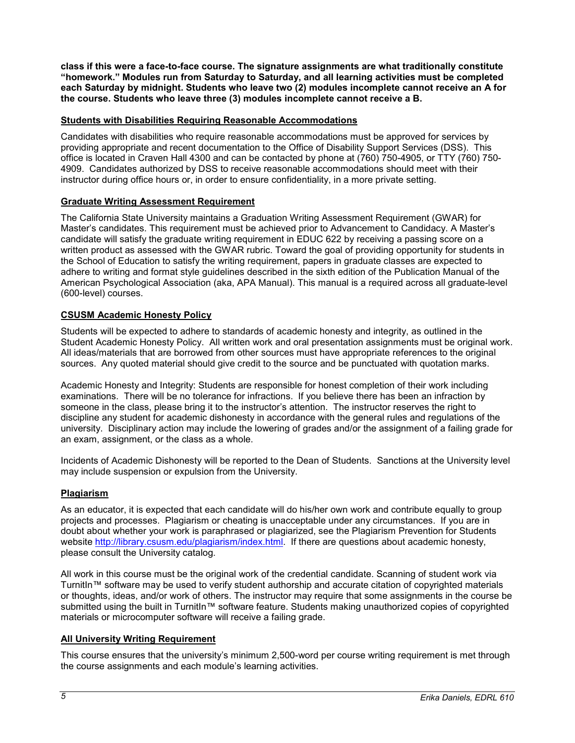**class if this were a face-to-face course. The signature assignments are what traditionally constitute "homework." Modules run from Saturday to Saturday, and all learning activities must be completed each Saturday by midnight. Students who leave two (2) modules incomplete cannot receive an A for the course. Students who leave three (3) modules incomplete cannot receive a B.**

## <span id="page-4-0"></span>**Students with Disabilities Requiring Reasonable Accommodations**

Candidates with disabilities who require reasonable accommodations must be approved for services by providing appropriate and recent documentation to the Office of Disability Support Services (DSS). This office is located in Craven Hall 4300 and can be contacted by phone at (760) 750-4905, or TTY (760) 750- 4909. Candidates authorized by DSS to receive reasonable accommodations should meet with their instructor during office hours or, in order to ensure confidentiality, in a more private setting.

## <span id="page-4-1"></span>**Graduate Writing Assessment Requirement**

The California State University maintains a Graduation Writing Assessment Requirement (GWAR) for Master's candidates. This requirement must be achieved prior to Advancement to Candidacy. A Master's candidate will satisfy the graduate writing requirement in EDUC 622 by receiving a passing score on a written product as assessed with the GWAR rubric. Toward the goal of providing opportunity for students in the School of Education to satisfy the writing requirement, papers in graduate classes are expected to adhere to writing and format style guidelines described in the sixth edition of the Publication Manual of the American Psychological Association (aka, APA Manual). This manual is a required across all graduate-level (600-level) courses.

## <span id="page-4-2"></span>**CSUSM Academic Honesty Policy**

Students will be expected to adhere to standards of academic honesty and integrity, as outlined in the Student Academic Honesty Policy. All written work and oral presentation assignments must be original work. All ideas/materials that are borrowed from other sources must have appropriate references to the original sources. Any quoted material should give credit to the source and be punctuated with quotation marks.

Academic Honesty and Integrity: Students are responsible for honest completion of their work including examinations. There will be no tolerance for infractions. If you believe there has been an infraction by someone in the class, please bring it to the instructor's attention. The instructor reserves the right to discipline any student for academic dishonesty in accordance with the general rules and regulations of the university. Disciplinary action may include the lowering of grades and/or the assignment of a failing grade for an exam, assignment, or the class as a whole.

Incidents of Academic Dishonesty will be reported to the Dean of Students. Sanctions at the University level may include suspension or expulsion from the University.

## <span id="page-4-3"></span>**Plagiarism**

As an educator, it is expected that each candidate will do his/her own work and contribute equally to group projects and processes. Plagiarism or cheating is unacceptable under any circumstances. If you are in doubt about whether your work is paraphrased or plagiarized, see the Plagiarism Prevention for Students website [http://library.csusm.edu/plagiarism/index.html.](http://library.csusm.edu/plagiarism/index.html) If there are questions about academic honesty, please consult the University catalog.

All work in this course must be the original work of the credential candidate. Scanning of student work via TurnitIn™ software may be used to verify student authorship and accurate citation of copyrighted materials or thoughts, ideas, and/or work of others. The instructor may require that some assignments in the course be submitted using the built in TurnitIn™ software feature. Students making unauthorized copies of copyrighted materials or microcomputer software will receive a failing grade.

## <span id="page-4-4"></span>**All University Writing Requirement**

This course ensures that the university's minimum 2,500-word per course writing requirement is met through the course assignments and each module's learning activities.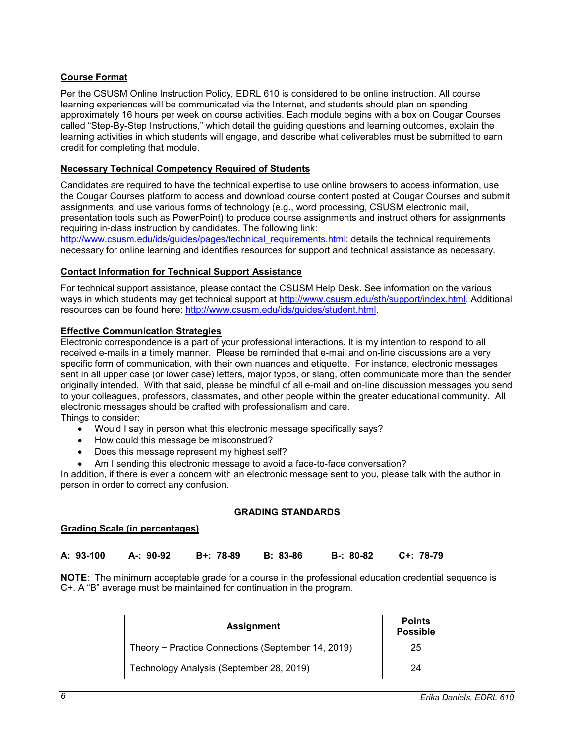### <span id="page-5-0"></span>**Course Format**

Per the CSUSM Online Instruction Policy, EDRL 610 is considered to be online instruction. All course learning experiences will be communicated via the Internet, and students should plan on spending approximately 16 hours per week on course activities. Each module begins with a box on Cougar Courses called "Step-By-Step Instructions," which detail the guiding questions and learning outcomes, explain the learning activities in which students will engage, and describe what deliverables must be submitted to earn credit for completing that module.

#### <span id="page-5-1"></span>**Necessary Technical Competency Required of Students**

Candidates are required to have the technical expertise to use online browsers to access information, use the Cougar Courses platform to access and download course content posted at Cougar Courses and submit assignments, and use various forms of technology (e.g., word processing, CSUSM electronic mail, presentation tools such as PowerPoint) to produce course assignments and instruct others for assignments requiring in-class instruction by candidates. The following link:

[http://www.csusm.edu/ids/guides/pages/technical\\_requirements.html:](http://www.csusm.edu/ids/guides/pages/technical_requirements.html) details the technical requirements necessary for online learning and identifies resources for support and technical assistance as necessary.

#### <span id="page-5-2"></span>**Contact Information for Technical Support Assistance**

For technical support assistance, please contact the CSUSM Help Desk. See information on the various ways in which students may get technical support at [http://www.csusm.edu/sth/support/index.html.](http://www.csusm.edu/sth/support/index.html) Additional resources can be found here: [http://www.csusm.edu/ids/guides/student.html.](http://www.csusm.edu/ids/guides/student.html)

#### **Effective Communication Strategies**

Electronic correspondence is a part of your professional interactions. It is my intention to respond to all received e-mails in a timely manner. Please be reminded that e-mail and on-line discussions are a very specific form of communication, with their own nuances and etiquette. For instance, electronic messages sent in all upper case (or lower case) letters, major typos, or slang, often communicate more than the sender originally intended. With that said, please be mindful of all e-mail and on-line discussion messages you send to your colleagues, professors, classmates, and other people within the greater educational community. All electronic messages should be crafted with professionalism and care. Things to consider:

- Would I say in person what this electronic message specifically says?
- How could this message be misconstrued?
- Does this message represent my highest self?
- Am I sending this electronic message to avoid a face-to-face conversation?

In addition, if there is ever a concern with an electronic message sent to you, please talk with the author in person in order to correct any confusion.

#### **GRADING STANDARDS**

#### <span id="page-5-4"></span><span id="page-5-3"></span>**Grading Scale (in percentages)**

| A: 93-100 | A-: 90-92 B+: 78-89 B: 83-86 | B-: 80-82 C+: 78-79 |  |
|-----------|------------------------------|---------------------|--|
|           |                              |                     |  |

**NOTE**: The minimum acceptable grade for a course in the professional education credential sequence is C+. A "B" average must be maintained for continuation in the program.

| <b>Assignment</b>                                       | <b>Points</b><br><b>Possible</b> |
|---------------------------------------------------------|----------------------------------|
| Theory $\sim$ Practice Connections (September 14, 2019) | 25                               |
| Technology Analysis (September 28, 2019)                | 24                               |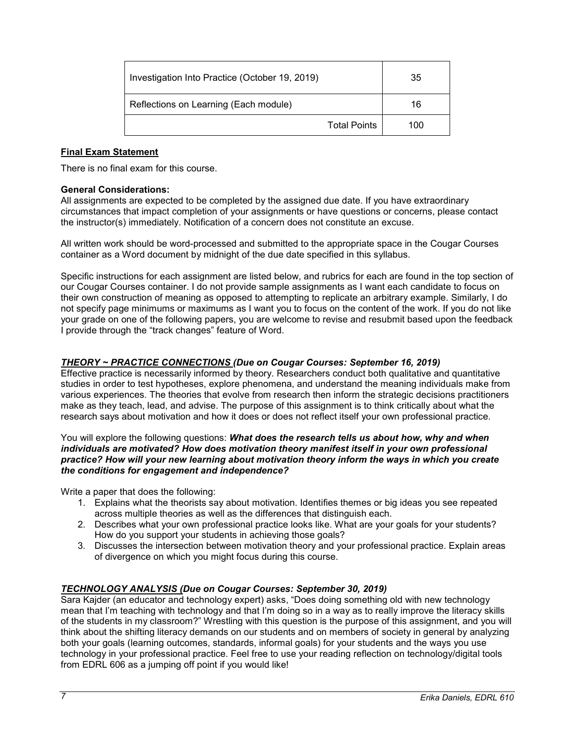| Investigation Into Practice (October 19, 2019) | 35  |
|------------------------------------------------|-----|
| Reflections on Learning (Each module)          | 16  |
| <b>Total Points</b>                            | 100 |

## <span id="page-6-0"></span>**Final Exam Statement**

There is no final exam for this course.

### **General Considerations:**

All assignments are expected to be completed by the assigned due date. If you have extraordinary circumstances that impact completion of your assignments or have questions or concerns, please contact the instructor(s) immediately. Notification of a concern does not constitute an excuse.

All written work should be word-processed and submitted to the appropriate space in the Cougar Courses container as a Word document by midnight of the due date specified in this syllabus.

Specific instructions for each assignment are listed below, and rubrics for each are found in the top section of our Cougar Courses container. I do not provide sample assignments as I want each candidate to focus on their own construction of meaning as opposed to attempting to replicate an arbitrary example. Similarly, I do not specify page minimums or maximums as I want you to focus on the content of the work. If you do not like your grade on one of the following papers, you are welcome to revise and resubmit based upon the feedback I provide through the "track changes" feature of Word.

## *THEORY ~ PRACTICE CONNECTIONS (Due on Cougar Courses: September 16, 2019)*

Effective practice is necessarily informed by theory. Researchers conduct both qualitative and quantitative studies in order to test hypotheses, explore phenomena, and understand the meaning individuals make from various experiences. The theories that evolve from research then inform the strategic decisions practitioners make as they teach, lead, and advise. The purpose of this assignment is to think critically about what the research says about motivation and how it does or does not reflect itself your own professional practice.

#### You will explore the following questions: *What does the research tells us about how, why and when individuals are motivated? How does motivation theory manifest itself in your own professional practice? How will your new learning about motivation theory inform the ways in which you create the conditions for engagement and independence?*

Write a paper that does the following:

- 1. Explains what the theorists say about motivation. Identifies themes or big ideas you see repeated across multiple theories as well as the differences that distinguish each.
- 2. Describes what your own professional practice looks like. What are your goals for your students? How do you support your students in achieving those goals?
- 3. Discusses the intersection between motivation theory and your professional practice. Explain areas of divergence on which you might focus during this course.

## *TECHNOLOGY ANALYSIS (Due on Cougar Courses: September 30, 2019)*

Sara Kajder (an educator and technology expert) asks, "Does doing something old with new technology mean that I'm teaching with technology and that I'm doing so in a way as to really improve the literacy skills of the students in my classroom?" Wrestling with this question is the purpose of this assignment, and you will think about the shifting literacy demands on our students and on members of society in general by analyzing both your goals (learning outcomes, standards, informal goals) for your students and the ways you use technology in your professional practice. Feel free to use your reading reflection on technology/digital tools from EDRL 606 as a jumping off point if you would like!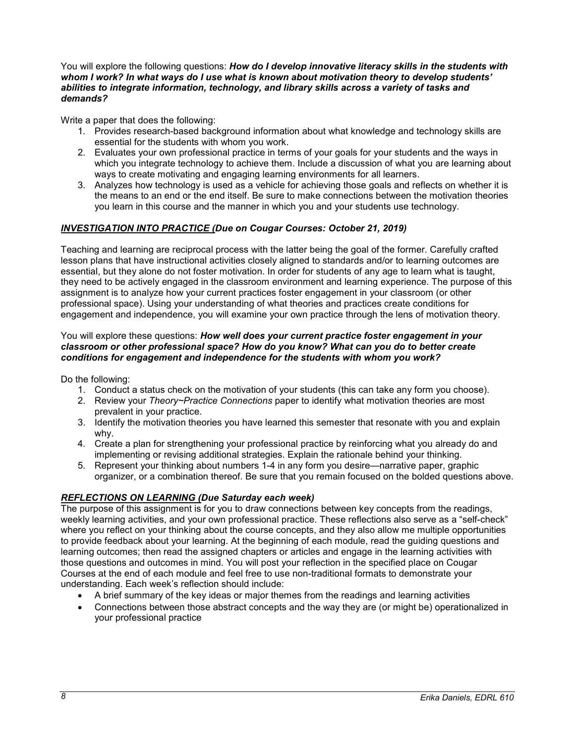<span id="page-7-0"></span>You will explore the following questions: *How do I develop innovative literacy skills in the students with whom I work? In what ways do I use what is known about motivation theory to develop students' abilities to integrate information, technology, and library skills across a variety of tasks and demands?*

Write a paper that does the following:

- 1. Provides research-based background information about what knowledge and technology skills are essential for the students with whom you work.
- 2. Evaluates your own professional practice in terms of your goals for your students and the ways in which you integrate technology to achieve them. Include a discussion of what you are learning about ways to create motivating and engaging learning environments for all learners.
- 3. Analyzes how technology is used as a vehicle for achieving those goals and reflects on whether it is the means to an end or the end itself. Be sure to make connections between the motivation theories you learn in this course and the manner in which you and your students use technology.

## *INVESTIGATION INTO PRACTICE (Due on Cougar Courses: October 21, 2019)*

Teaching and learning are reciprocal process with the latter being the goal of the former. Carefully crafted lesson plans that have instructional activities closely aligned to standards and/or to learning outcomes are essential, but they alone do not foster motivation. In order for students of any age to learn what is taught, they need to be actively engaged in the classroom environment and learning experience. The purpose of this assignment is to analyze how your current practices foster engagement in your classroom (or other professional space). Using your understanding of what theories and practices create conditions for engagement and independence, you will examine your own practice through the lens of motivation theory.

### You will explore these questions: *How well does your current practice foster engagement in your classroom or other professional space? How do you know? What can you do to better create conditions for engagement and independence for the students with whom you work?*

Do the following:

- 1. Conduct a status check on the motivation of your students (this can take any form you choose).
- 2. Review your *Theory~Practice Connections* paper to identify what motivation theories are most prevalent in your practice.
- 3. Identify the motivation theories you have learned this semester that resonate with you and explain why.
- 4. Create a plan for strengthening your professional practice by reinforcing what you already do and implementing or revising additional strategies. Explain the rationale behind your thinking.
- 5. Represent your thinking about numbers 1-4 in any form you desire—narrative paper, graphic organizer, or a combination thereof. Be sure that you remain focused on the bolded questions above.

## *REFLECTIONS ON LEARNING (Due Saturday each week)*

The purpose of this assignment is for you to draw connections between key concepts from the readings, weekly learning activities, and your own professional practice. These reflections also serve as a "self-check" where you reflect on your thinking about the course concepts, and they also allow me multiple opportunities to provide feedback about your learning. At the beginning of each module, read the guiding questions and learning outcomes; then read the assigned chapters or articles and engage in the learning activities with those questions and outcomes in mind. You will post your reflection in the specified place on Cougar Courses at the end of each module and feel free to use non-traditional formats to demonstrate your understanding. Each week's reflection should include:

- A brief summary of the key ideas or major themes from the readings and learning activities
- Connections between those abstract concepts and the way they are (or might be) operationalized in your professional practice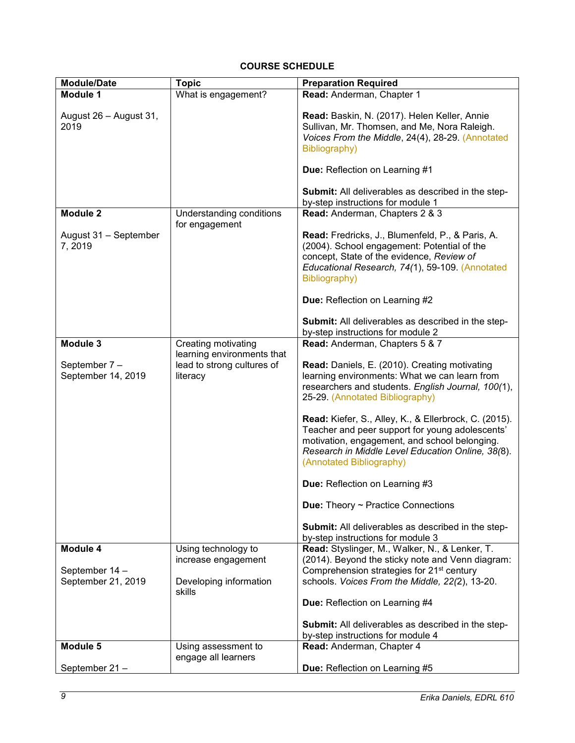## **COURSE SCHEDULE**

| <b>Module/Date</b>                 | <b>Topic</b>                                                                                | <b>Preparation Required</b>                                                                                                                                                                                                                                                                                                                                                                                                                                                                                                                                                                                                 |
|------------------------------------|---------------------------------------------------------------------------------------------|-----------------------------------------------------------------------------------------------------------------------------------------------------------------------------------------------------------------------------------------------------------------------------------------------------------------------------------------------------------------------------------------------------------------------------------------------------------------------------------------------------------------------------------------------------------------------------------------------------------------------------|
| <b>Module 1</b>                    | What is engagement?                                                                         | Read: Anderman, Chapter 1                                                                                                                                                                                                                                                                                                                                                                                                                                                                                                                                                                                                   |
| August 26 - August 31,<br>2019     |                                                                                             | Read: Baskin, N. (2017). Helen Keller, Annie<br>Sullivan, Mr. Thomsen, and Me, Nora Raleigh.<br>Voices From the Middle, 24(4), 28-29. (Annotated<br>Bibliography)<br>Due: Reflection on Learning #1<br>Submit: All deliverables as described in the step-                                                                                                                                                                                                                                                                                                                                                                   |
|                                    |                                                                                             | by-step instructions for module 1                                                                                                                                                                                                                                                                                                                                                                                                                                                                                                                                                                                           |
| <b>Module 2</b>                    | Understanding conditions                                                                    | Read: Anderman, Chapters 2 & 3                                                                                                                                                                                                                                                                                                                                                                                                                                                                                                                                                                                              |
| August 31 - September<br>7,2019    | for engagement                                                                              | Read: Fredricks, J., Blumenfeld, P., & Paris, A.<br>(2004). School engagement: Potential of the<br>concept, State of the evidence, Review of<br>Educational Research, 74(1), 59-109. (Annotated<br>Bibliography)<br><b>Due: Reflection on Learning #2</b>                                                                                                                                                                                                                                                                                                                                                                   |
|                                    |                                                                                             | <b>Submit:</b> All deliverables as described in the step-                                                                                                                                                                                                                                                                                                                                                                                                                                                                                                                                                                   |
| Module 3                           |                                                                                             | by-step instructions for module 2<br>Read: Anderman, Chapters 5 & 7                                                                                                                                                                                                                                                                                                                                                                                                                                                                                                                                                         |
| September 7-<br>September 14, 2019 | Creating motivating<br>learning environments that<br>lead to strong cultures of<br>literacy | Read: Daniels, E. (2010). Creating motivating<br>learning environments: What we can learn from<br>researchers and students. English Journal, 100(1),<br>25-29. (Annotated Bibliography)<br>Read: Kiefer, S., Alley, K., & Ellerbrock, C. (2015).<br>Teacher and peer support for young adolescents'<br>motivation, engagement, and school belonging.<br>Research in Middle Level Education Online, 38(8).<br>(Annotated Bibliography)<br>Due: Reflection on Learning #3<br><b>Due:</b> Theory $\sim$ Practice Connections<br><b>Submit:</b> All deliverables as described in the step-<br>by-step instructions for module 3 |
| Module 4                           | Using technology to                                                                         | Read: Styslinger, M., Walker, N., & Lenker, T.<br>(2014). Beyond the sticky note and Venn diagram:                                                                                                                                                                                                                                                                                                                                                                                                                                                                                                                          |
| September 14 -                     | increase engagement                                                                         | Comprehension strategies for 21 <sup>st</sup> century                                                                                                                                                                                                                                                                                                                                                                                                                                                                                                                                                                       |
| September 21, 2019                 | Developing information<br>skills                                                            | schools. Voices From the Middle, 22(2), 13-20.<br>Due: Reflection on Learning #4                                                                                                                                                                                                                                                                                                                                                                                                                                                                                                                                            |
|                                    |                                                                                             | Submit: All deliverables as described in the step-<br>by-step instructions for module 4                                                                                                                                                                                                                                                                                                                                                                                                                                                                                                                                     |
| Module 5                           | Using assessment to                                                                         | Read: Anderman, Chapter 4                                                                                                                                                                                                                                                                                                                                                                                                                                                                                                                                                                                                   |
|                                    | engage all learners                                                                         |                                                                                                                                                                                                                                                                                                                                                                                                                                                                                                                                                                                                                             |
| September 21-                      |                                                                                             | Due: Reflection on Learning #5                                                                                                                                                                                                                                                                                                                                                                                                                                                                                                                                                                                              |